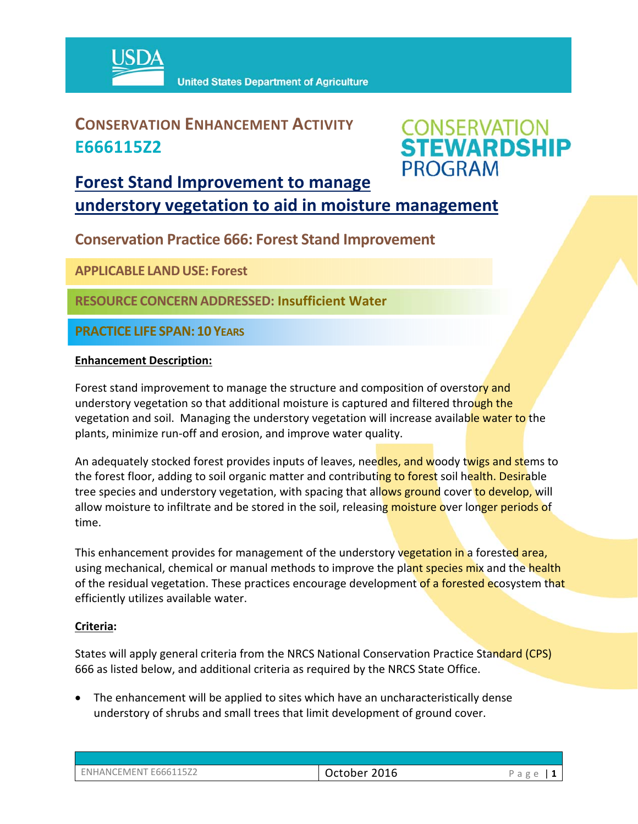

### **CONSERVATION ENHANCEMENT ACTIVITY E666115Z2**



### **Forest Stand Improvement to manage**

**understory vegetation to aid in moisture management**

**Conservation Practice 666: Forest Stand Improvement**

**APPLICABLE LANDUSE: Forest** 

**RESOURCE CONCERNADDRESSED: Insufficient Water**

**PRACTICE LIFE SPAN: 10 YEARS**

#### **Enhancement Description:**

Forest stand improvement to manage the structure and composition of overstory and understory vegetation so that additional moisture is captured and filtered through the vegetation and soil. Managing the understory vegetation will increase available water to the plants, minimize run‐off and erosion, and improve water quality.

An adequately stocked forest provides inputs of leaves, needles, and woody twigs and stems to the forest floor, adding to soil organic matter and contributing to forest soil health. Desirable tree species and understory vegetation, with spacing that allows ground cover to develop, will allow moisture to infiltrate and be stored in the soil, releasing moisture over longer periods of time.

This enhancement provides for management of the understory vegetation in a forested area, using mechanical, chemical or manual methods to improve the plant species mix and the health of the residual vegetation. These practices encourage development of a forested ecosystem that efficiently utilizes available water.

#### **Criteria:**

States will apply general criteria from the NRCS National Conservation Practice Standard (CPS) 666 as listed below, and additional criteria as required by the NRCS State Office.

• The enhancement will be applied to sites which have an uncharacteristically dense understory of shrubs and small trees that limit development of ground cover.

| ENHANCEMENT E666115Z2 | October 2016 | $\mathbf{a}$ and $\mathbf{a}$<br>d.<br>∽ |
|-----------------------|--------------|------------------------------------------|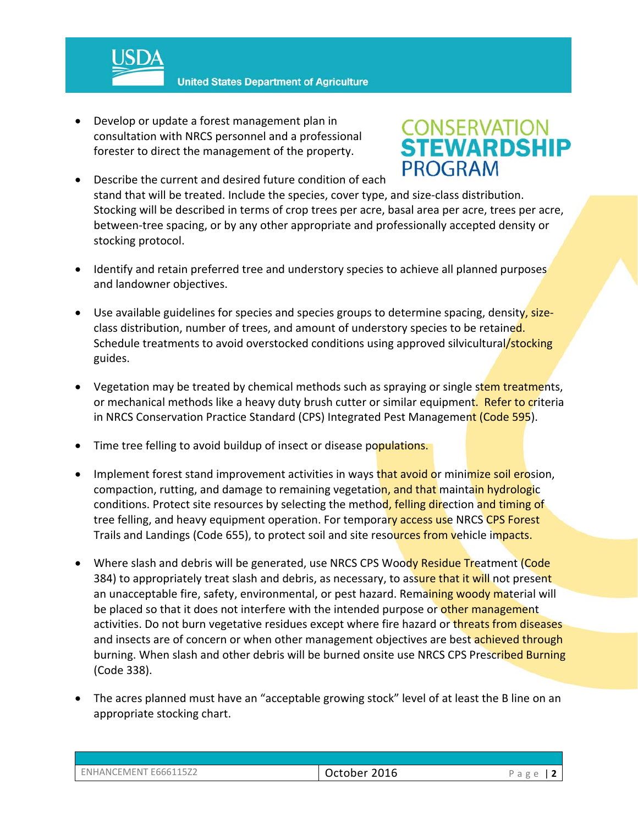

**United States Department of Agriculture** 

 Develop or update a forest management plan in consultation with NRCS personnel and a professional forester to direct the management of the property.

# **CONSERVATION<br>STEWARDSHIP PROGRAM**

- Describe the current and desired future condition of each stand that will be treated. Include the species, cover type, and size‐class distribution. Stocking will be described in terms of crop trees per acre, basal area per acre, trees per acre, between-tree spacing, or by any other appropriate and professionally accepted density or stocking protocol.
- Identify and retain preferred tree and understory species to achieve all planned purposes and landowner objectives.
- Use available guidelines for species and species groups to determine spacing, density, sizeclass distribution, number of trees, and amount of understory species to be retained. Schedule treatments to avoid overstocked conditions using approved silvicultural/stocking guides.
- Vegetation may be treated by chemical methods such as spraying or single stem treatments, or mechanical methods like a heavy duty brush cutter or similar equipment. Refer to criteria in NRCS Conservation Practice Standard (CPS) Integrated Pest Management (Code 595).
- Time tree felling to avoid buildup of insect or disease populations.
- Implement forest stand improvement activities in ways that avoid or minimize soil erosion, compaction, rutting, and damage to remaining vegetation, and that maintain hydrologic conditions. Protect site resources by selecting the method, felling direction and timing of tree felling, and heavy equipment operation. For temporary access use NRCS CPS Forest Trails and Landings (Code 655), to protect soil and site resources from vehicle impacts.
- Where slash and debris will be generated, use NRCS CPS Woody Residue Treatment (Code 384) to appropriately treat slash and debris, as necessary, to assure that it will not present an unacceptable fire, safety, environmental, or pest hazard. Remaining woody material will be placed so that it does not interfere with the intended purpose or other management activities. Do not burn vegetative residues except where fire hazard or threats from diseases and insects are of concern or when other management objectives are best achieved through burning. When slash and other debris will be burned onsite use NRCS CPS Prescribed Burning (Code 338).
- The acres planned must have an "acceptable growing stock" level of at least the B line on an appropriate stocking chart.

| ENHANCEMENT E666115Z2 | October 2016 | Page   $2$ |
|-----------------------|--------------|------------|